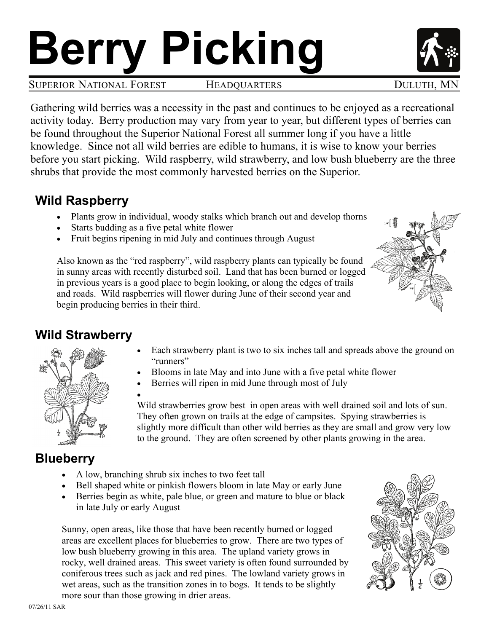# **Berry Picking**

Gathering wild berries was a necessity in the past and continues to be enjoyed as a recreational activity today. Berry production may vary from year to year, but different types of berries can be found throughout the Superior National Forest all summer long if you have a little knowledge. Since not all wild berries are edible to humans, it is wise to know your berries before you start picking. Wild raspberry, wild strawberry, and low bush blueberry are the three shrubs that provide the most commonly harvested berries on the Superior.

#### **Wild Raspberry**

- Plants grow in individual, woody stalks which branch out and develop thorns
- Starts budding as a five petal white flower
- Fruit begins ripening in mid July and continues through August

Also known as the "red raspberry", wild raspberry plants can typically be found in sunny areas with recently disturbed soil. Land that has been burned or logged in previous years is a good place to begin looking, or along the edges of trails and roads. Wild raspberries will flower during June of their second year and begin producing berries in their third.

#### **Wild Strawberry**

- Each strawberry plant is two to six inches tall and spreads above the ground on "runners"
- Blooms in late May and into June with a five petal white flower
	- Berries will ripen in mid June through most of July

 $\bullet$ Wild strawberries grow best in open areas with well drained soil and lots of sun. They often grown on trails at the edge of campsites. Spying strawberries is slightly more difficult than other wild berries as they are small and grow very low to the ground. They are often screened by other plants growing in the area.

#### **Blueberry**

- A low, branching shrub six inches to two feet tall
- Bell shaped white or pinkish flowers bloom in late May or early June
- Berries begin as white, pale blue, or green and mature to blue or black in late July or early August

Sunny, open areas, like those that have been recently burned or logged areas are excellent places for blueberries to grow. There are two types of low bush blueberry growing in this area. The upland variety grows in rocky, well drained areas. This sweet variety is often found surrounded by coniferous trees such as jack and red pines. The lowland variety grows in wet areas, such as the transition zones in to bogs. It tends to be slightly more sour than those growing in drier areas.







SUPERIOR NATIONAL FOREST HEADQUARTERS DULUTH, MN